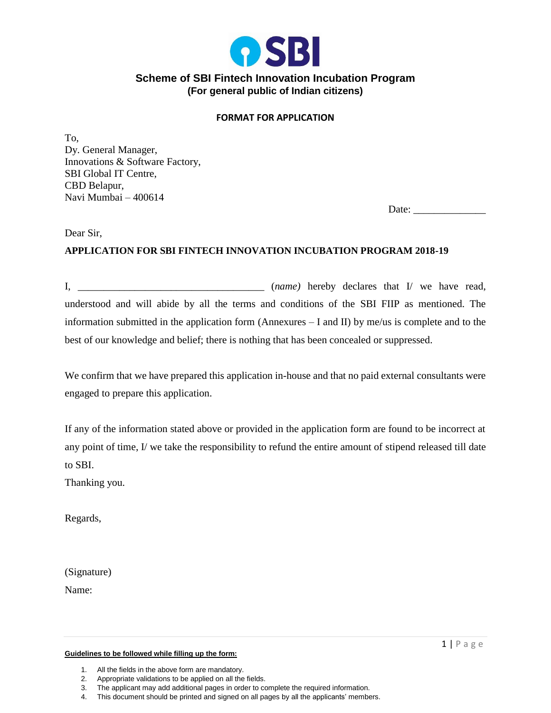

## **Scheme of SBI Fintech Innovation Incubation Program (For general public of Indian citizens)**

### **FORMAT FOR APPLICATION**

To, Dy. General Manager, Innovations & Software Factory, SBI Global IT Centre, CBD Belapur, Navi Mumbai – 400614

Date:

Dear Sir,

## **APPLICATION FOR SBI FINTECH INNOVATION INCUBATION PROGRAM 2018-19**

I, \_\_\_\_\_\_\_\_\_\_\_\_\_\_\_\_\_\_\_\_\_\_\_\_\_\_\_\_\_\_\_\_\_\_\_\_ (*name)* hereby declares that I/ we have read, understood and will abide by all the terms and conditions of the SBI FIIP as mentioned. The information submitted in the application form (Annexures – I and II) by me/us is complete and to the best of our knowledge and belief; there is nothing that has been concealed or suppressed.

We confirm that we have prepared this application in-house and that no paid external consultants were engaged to prepare this application.

If any of the information stated above or provided in the application form are found to be incorrect at any point of time, I/ we take the responsibility to refund the entire amount of stipend released till date to SBI.

Thanking you.

Regards,

(Signature)

Name:

**Guidelines to be followed while filling up the form:**

<sup>1.</sup> All the fields in the above form are mandatory.

<sup>2.</sup> Appropriate validations to be applied on all the fields.

<sup>3.</sup> The applicant may add additional pages in order to complete the required information.

<sup>4.</sup> This document should be printed and signed on all pages by all the applicants' members.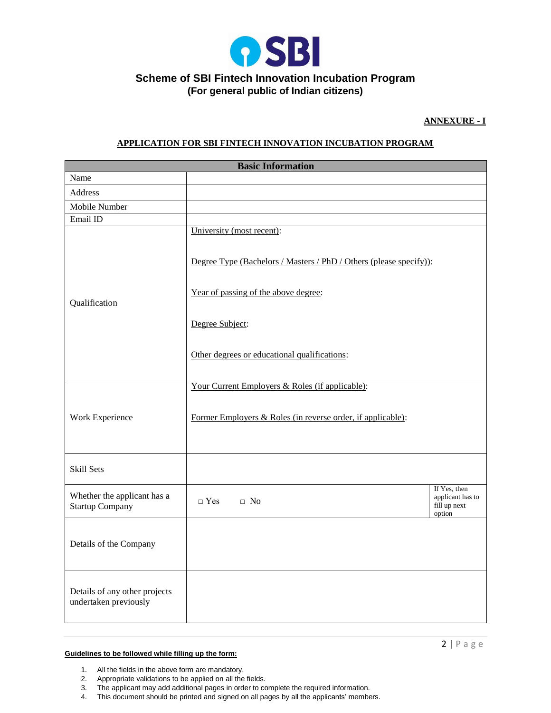

# **(For general public of Indian citizens)**

#### **ANNEXURE - I**

#### **APPLICATION FOR SBI FINTECH INNOVATION INCUBATION PROGRAM**

| <b>Basic Information</b>                               |                                                                                                 |                                                            |  |
|--------------------------------------------------------|-------------------------------------------------------------------------------------------------|------------------------------------------------------------|--|
| Name                                                   |                                                                                                 |                                                            |  |
| Address                                                |                                                                                                 |                                                            |  |
| Mobile Number                                          |                                                                                                 |                                                            |  |
| Email ID                                               |                                                                                                 |                                                            |  |
| Qualification                                          | University (most recent):<br>Degree Type (Bachelors / Masters / PhD / Others (please specify)): |                                                            |  |
|                                                        | Year of passing of the above degree:                                                            |                                                            |  |
|                                                        | Degree Subject:                                                                                 |                                                            |  |
|                                                        | Other degrees or educational qualifications:                                                    |                                                            |  |
| Work Experience                                        | Your Current Employers & Roles (if applicable):                                                 |                                                            |  |
|                                                        | Former Employers & Roles (in reverse order, if applicable):                                     |                                                            |  |
| Skill Sets                                             |                                                                                                 |                                                            |  |
| Whether the applicant has a<br><b>Startup Company</b>  | $\Box$ Yes<br>$\Box$ No                                                                         | If Yes, then<br>applicant has to<br>fill up next<br>option |  |
| Details of the Company                                 |                                                                                                 |                                                            |  |
| Details of any other projects<br>undertaken previously |                                                                                                 |                                                            |  |

#### **Guidelines to be followed while filling up the form:**

- 1. All the fields in the above form are mandatory.
- 2. Appropriate validations to be applied on all the fields.
- 3. The applicant may add additional pages in order to complete the required information.
- 4. This document should be printed and signed on all pages by all the applicants' members.